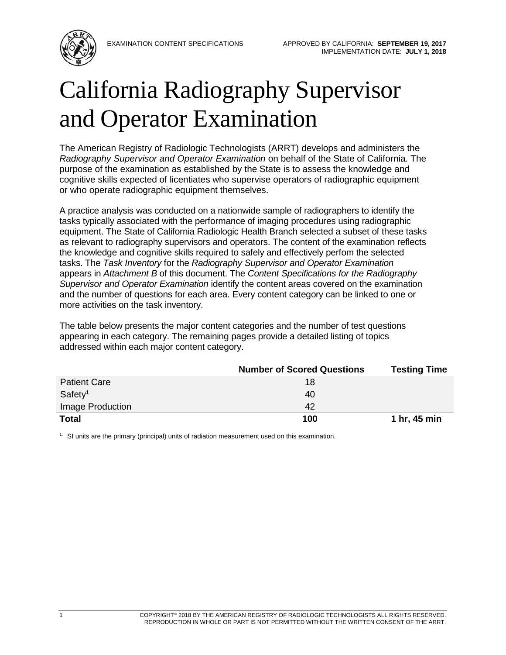



# California Radiography Supervisor and Operator Examination

The American Registry of Radiologic Technologists (ARRT) develops and administers the *Radiography Supervisor and Operator Examination* on behalf of the State of California. The purpose of the examination as established by the State is to assess the knowledge and cognitive skills expected of licentiates who supervise operators of radiographic equipment or who operate radiographic equipment themselves.

A practice analysis was conducted on a nationwide sample of radiographers to identify the tasks typically associated with the performance of imaging procedures using radiographic equipment. The State of California Radiologic Health Branch selected a subset of these tasks as relevant to radiography supervisors and operators. The content of the examination reflects the knowledge and cognitive skills required to safely and effectively perfom the selected tasks. The *Task Inventory* for the *Radiography Supervisor and Operator Examination* appears in *Attachment B* of this document. The *Content Specifications for the Radiography Supervisor and Operator Examination* identify the content areas covered on the examination and the number of questions for each area. Every content category can be linked to one or more activities on the task inventory.

The table below presents the major content categories and the number of test questions appearing in each category. The remaining pages provide a detailed listing of topics addressed within each major content category.

|                     | <b>Number of Scored Questions</b> | <b>Testing Time</b> |
|---------------------|-----------------------------------|---------------------|
| <b>Patient Care</b> | 18                                |                     |
| Safety <sup>1</sup> | 40                                |                     |
| Image Production    | 42                                |                     |
| <b>Total</b>        | 100                               | 1 hr, 45 min        |

<sup>1.</sup> SI units are the primary (principal) units of radiation measurement used on this examination.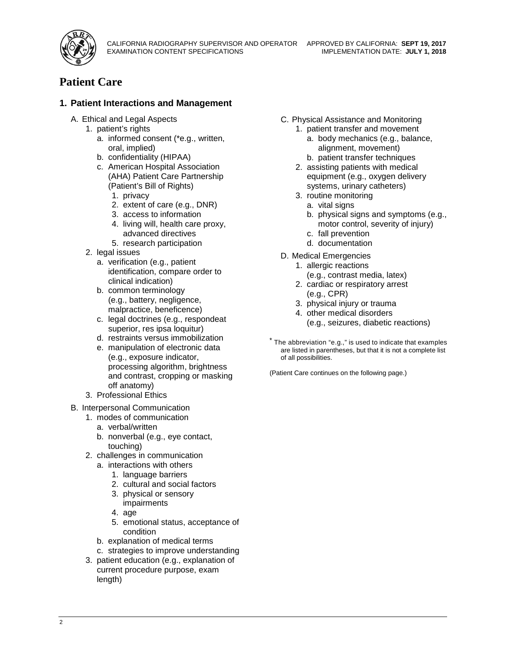

## **Patient Care**

#### **1. Patient Interactions and Management**

- A. Ethical and Legal Aspects
	- 1. patient's rights
		- a. informed consent (\*e.g., written, oral, implied)
		- b. confidentiality (HIPAA)
		- c. American Hospital Association (AHA) Patient Care Partnership (Patient's Bill of Rights)
			- 1. privacy
			- 2. extent of care (e.g., DNR)
			- 3. access to information
			- 4. living will, health care proxy, advanced directives
			- 5. research participation
	- 2. legal issues
		- a. verification (e.g., patient identification, compare order to clinical indication)
		- b. common terminology (e.g., battery, negligence, malpractice, beneficence)
		- c. legal doctrines (e.g., respondeat superior, res ipsa loquitur)
		- d. restraints versus immobilization
		- e. manipulation of electronic data (e.g., exposure indicator, processing algorithm, brightness and contrast, cropping or masking off anatomy)
	- 3. Professional Ethics
- B. Interpersonal Communication
	- 1. modes of communication
		- a. verbal/written
		- b. nonverbal (e.g., eye contact, touching)
	- 2. challenges in communication
		- a. interactions with others
			- 1. language barriers
			- 2. cultural and social factors
			- 3. physical or sensory impairments
			- 4. age
			- 5. emotional status, acceptance of condition
		- b. explanation of medical terms
		- c. strategies to improve understanding
	- 3. patient education (e.g., explanation of current procedure purpose, exam length)
- C. Physical Assistance and Monitoring
	- 1. patient transfer and movement
		- a. body mechanics (e.g., balance, alignment, movement)
		- b. patient transfer techniques
	- 2. assisting patients with medical equipment (e.g., oxygen delivery systems, urinary catheters)
	- 3. routine monitoring
		- a. vital signs
		- b. physical signs and symptoms (e.g., motor control, severity of injury)
		- c. fall prevention
		- d. documentation
- D. Medical Emergencies
	- 1. allergic reactions
	- (e.g., contrast media, latex) 2. cardiac or respiratory arrest
	- (e.g., CPR)
	- 3. physical injury or trauma
	- 4. other medical disorders (e.g., seizures, diabetic reactions)
- \* The abbreviation "e.g.," is used to indicate that examples are listed in parentheses, but that it is not a complete list of all possibilities.

(Patient Care continues on the following page.)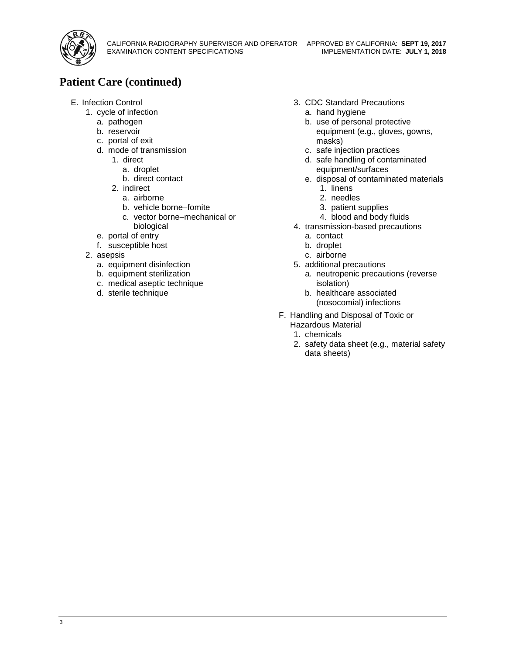

# **Patient Care (continued)**

- E. Infection Control
	- 1. cycle of infection
		- a. pathogen
		- b. reservoir
		- c. portal of exit
		- d. mode of transmission
			- 1. direct
				- a. droplet
				- b. direct contact
			- 2. indirect
				- a. airborne
				- b. vehicle borne–fomite
				- c. vector borne–mechanical or biological
		- e. portal of entry
		- f. susceptible host
	- 2. asepsis
		- a. equipment disinfection
		- b. equipment sterilization
		- c. medical aseptic technique
		- d. sterile technique
- 3. CDC Standard Precautions
	- a. hand hygiene
	- b. use of personal protective equipment (e.g., gloves, gowns, masks)
	- c. safe injection practices
	- d. safe handling of contaminated equipment/surfaces
	- e. disposal of contaminated materials 1. linens
		-
		- 2. needles
		- 3. patient supplies 4. blood and body fluids
- 4. transmission-based precautions
	- a. contact
	- b. droplet
	- c. airborne
- 5. additional precautions
	- a. neutropenic precautions (reverse isolation)
	- b. healthcare associated (nosocomial) infections
- F. Handling and Disposal of Toxic or Hazardous Material
	- 1. chemicals
	- 2. safety data sheet (e.g., material safety data sheets)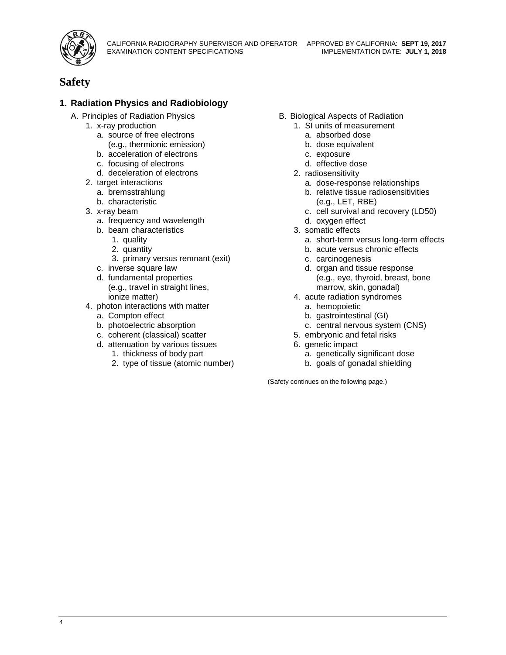

## **Safety**

#### **1. Radiation Physics and Radiobiology**

- A. Principles of Radiation Physics
	- 1. x-ray production
		- a. source of free electrons (e.g., thermionic emission)
		- b. acceleration of electrons
		- c. focusing of electrons
		- d. deceleration of electrons
	- 2. target interactions
		- a. bremsstrahlung
		- b. characteristic
	- 3. x-ray beam
		- a. frequency and wavelength
		- b. beam characteristics
			- 1. quality
			- 2. quantity
			- 3. primary versus remnant (exit)
		- c. inverse square law d. fundamental properties (e.g., travel in straight lines,
		- ionize matter)
	- 4. photon interactions with matter
		- a. Compton effect
		- b. photoelectric absorption
		- c. coherent (classical) scatter
		- d. attenuation by various tissues
			- 1. thickness of body part
			- 2. type of tissue (atomic number)
- B. Biological Aspects of Radiation
	- 1. SI units of measurement
		- a. absorbed dose
		- b. dose equivalent
		- c. exposure
	- d. effective dose
	- 2. radiosensitivity
		- a. dose-response relationships
		- b. relative tissue radiosensitivities (e.g., LET, RBE)
		- c. cell survival and recovery (LD50)
		- d. oxygen effect
	- 3. somatic effects
		- a. short-term versus long-term effects
		- b. acute versus chronic effects
		- c. carcinogenesis
		- d. organ and tissue response (e.g., eye, thyroid, breast, bone marrow, skin, gonadal)
	- 4. acute radiation syndromes
		- a. hemopoietic
		- b. gastrointestinal (GI)
		- c. central nervous system (CNS)
	- 5. embryonic and fetal risks
	- 6. genetic impact
		- a. genetically significant dose
		- b. goals of gonadal shielding

(Safety continues on the following page.)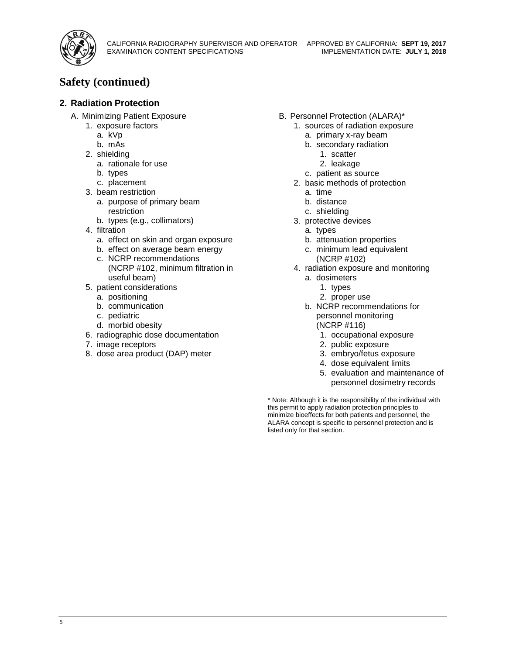

## **Safety (continued)**

#### **2. Radiation Protection**

- A. Minimizing Patient Exposure
	- 1. exposure factors
		- a. kVp
		- b. mAs
	- 2. shielding
		- a. rationale for use
		- b. types
		- c. placement
	- 3. beam restriction
		- a. purpose of primary beam restriction
		- b. types (e.g., collimators)
	- 4. filtration
		- a. effect on skin and organ exposure
		- b. effect on average beam energy
		- c. NCRP recommendations (NCRP #102, minimum filtration in useful beam)
	- 5. patient considerations
		- a. positioning
		- b. communication
		- c. pediatric
		- d. morbid obesity
	- 6. radiographic dose documentation
	- 7. image receptors
	- 8. dose area product (DAP) meter
- B. Personnel Protection (ALARA)\*
	- 1. sources of radiation exposure
		- a. primary x-ray beam
		- b. secondary radiation
			- 1. scatter
			- 2. leakage
		- c. patient as source
	- 2. basic methods of protection
		- a. time
		- b. distance
		- c. shielding
	- 3. protective devices
		- a. types
		- b. attenuation properties
		- c. minimum lead equivalent (NCRP #102)
	- 4. radiation exposure and monitoring
		- a. dosimeters
			- 1. types
			- 2. proper use
		- b. NCRP recommendations for personnel monitoring (NCRP #116)
			- 1. occupational exposure
			- 2. public exposure
			- 3. embryo/fetus exposure
			- 4. dose equivalent limits
			- 5. evaluation and maintenance of personnel dosimetry records

\* Note: Although it is the responsibility of the individual with this permit to apply radiation protection principles to minimize bioeffects for both patients and personnel, the ALARA concept is specific to personnel protection and is listed only for that section.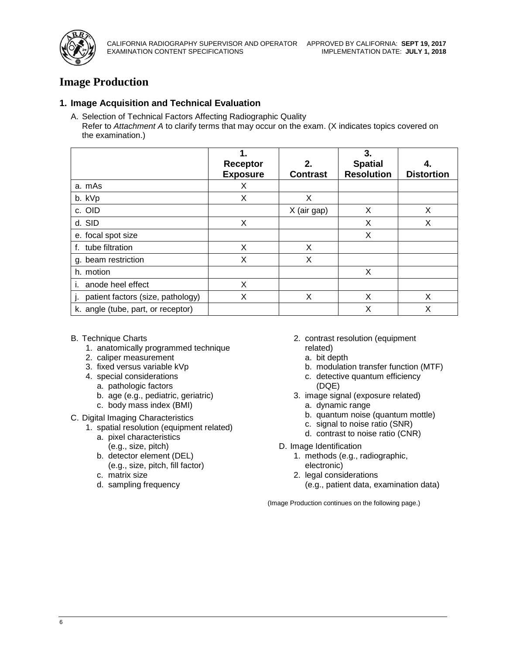

## **Image Production**

#### **1. Image Acquisition and Technical Evaluation**

A. Selection of Technical Factors Affecting Radiographic Quality Refer to *Attachment A* to clarify terms that may occur on the exam. (X indicates topics covered on the examination.)

|                                    | 1.<br><b>Receptor</b><br><b>Exposure</b> | 2.<br><b>Contrast</b> | 3.<br><b>Spatial</b><br><b>Resolution</b> | <b>Distortion</b> |
|------------------------------------|------------------------------------------|-----------------------|-------------------------------------------|-------------------|
| a. mAs                             | Χ                                        |                       |                                           |                   |
| b. kVp                             | X                                        | X                     |                                           |                   |
| c. OID                             |                                          | X (air gap)           | X                                         | X                 |
| d. SID                             | X                                        |                       | X                                         | Х                 |
| e. focal spot size                 |                                          |                       | Χ                                         |                   |
| f. tube filtration                 | Χ                                        | X                     |                                           |                   |
| g. beam restriction                | X                                        | X                     |                                           |                   |
| h. motion                          |                                          |                       | Χ                                         |                   |
| anode heel effect<br>L.            | X                                        |                       |                                           |                   |
| patient factors (size, pathology)  | X                                        | X                     | X                                         | X                 |
| k. angle (tube, part, or receptor) |                                          |                       | Χ                                         | Χ                 |

- B. Technique Charts
	- 1. anatomically programmed technique
	- 2. caliper measurement
	- 3. fixed versus variable kVp
	- 4. special considerations
		- a. pathologic factors
		- b. age (e.g., pediatric, geriatric)
		- c. body mass index (BMI)
- C. Digital Imaging Characteristics
	- 1. spatial resolution (equipment related)
		- a. pixel characteristics (e.g., size, pitch)
		- b. detector element (DEL) (e.g., size, pitch, fill factor)
		- c. matrix size
		- d. sampling frequency
- 2. contrast resolution (equipment related)
	- a. bit depth
	- b. modulation transfer function (MTF)
	- c. detective quantum efficiency (DQE)
- 3. image signal (exposure related)
	- a. dynamic range
	- b. quantum noise (quantum mottle)
	- c. signal to noise ratio (SNR)
	- d. contrast to noise ratio (CNR)
- D. Image Identification
	- 1. methods (e.g., radiographic, electronic)
	- 2. legal considerations (e.g., patient data, examination data)

(Image Production continues on the following page.)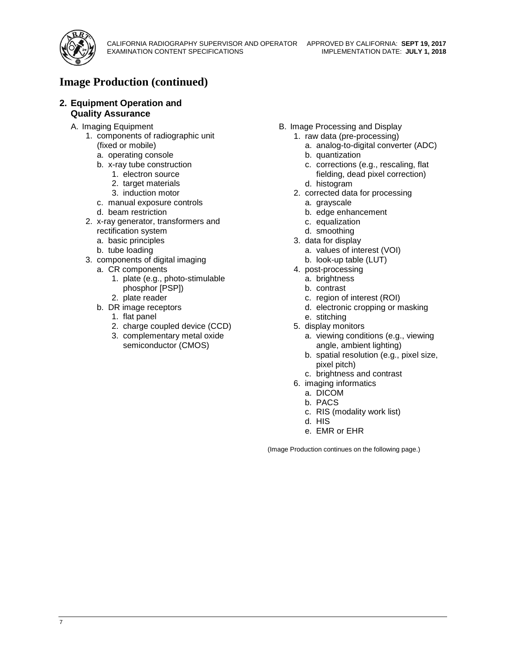

### **Image Production (continued)**

#### **2. Equipment Operation and Quality Assurance**

- A. Imaging Equipment
	- 1. components of radiographic unit (fixed or mobile)
		- a. operating console
		- b. x-ray tube construction
			- 1. electron source
			- 2. target materials
			- 3. induction motor
		- c. manual exposure controls
		- d. beam restriction
	- 2. x-ray generator, transformers and rectification system
		- a. basic principles
		- b. tube loading
	- 3. components of digital imaging
		- a. CR components
			- 1. plate (e.g., photo-stimulable phosphor [PSP])
			- 2. plate reader
		- b. DR image receptors
			- 1. flat panel
			- 2. charge coupled device (CCD)
			- 3. complementary metal oxide
			- semiconductor (CMOS)
- B. Image Processing and Display
	- 1. raw data (pre-processing)
		- a. analog-to-digital converter (ADC)
		- b. quantization
		- c. corrections (e.g., rescaling, flat fielding, dead pixel correction)
		- d. histogram
	- 2. corrected data for processing
		- a. grayscale
		- b. edge enhancement
		- c. equalization
		- d. smoothing
	- 3. data for display
		- a. values of interest (VOI)
		- b. look-up table (LUT)
	- 4. post-processing
		- a. brightness
		- b. contrast
		- c. region of interest (ROI)
		- d. electronic cropping or masking
		- e. stitching
	- 5. display monitors
		- a. viewing conditions (e.g., viewing angle, ambient lighting)
		- b. spatial resolution (e.g., pixel size, pixel pitch)
		- c. brightness and contrast
	- 6. imaging informatics
		- a. DICOM
		- b. PACS
		- c. RIS (modality work list)
		- d. HIS
		- e. EMR or EHR

(Image Production continues on the following page.)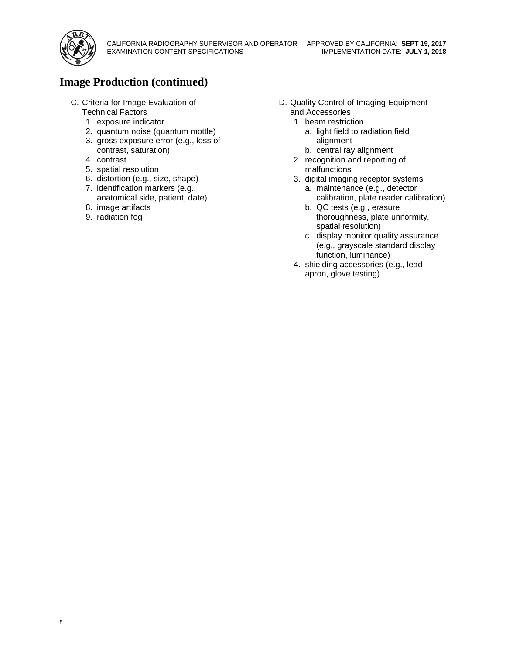



**Image Production (continued)**

- C. Criteria for Image Evaluation of Technical Factors
	- 1. exposure indicator
	- 2. quantum noise (quantum mottle)
	- 3. gross exposure error (e.g., loss of contrast, saturation)
	- 4. contrast
	- 5. spatial resolution
	- 6. distortion (e.g., size, shape)
	- 7. identification markers (e.g., anatomical side, patient, date)
	- 8. image artifacts
	- 9. radiation fog
- D. Quality Control of Imaging Equipment and Accessories
	- 1. beam restriction a. light field to radiation field
		- alignment b. central ray alignment
	- 2. recognition and reporting of malfunctions
	- 3. digital imaging receptor systems a. maintenance (e.g., detector
		- calibration, plate reader calibration)
		- b. QC tests (e.g., erasure thoroughness, plate uniformity, spatial resolution)
		- c. display monitor quality assurance (e.g., grayscale standard display function, luminance)
	- 4. shielding accessories (e.g., lead apron, glove testing)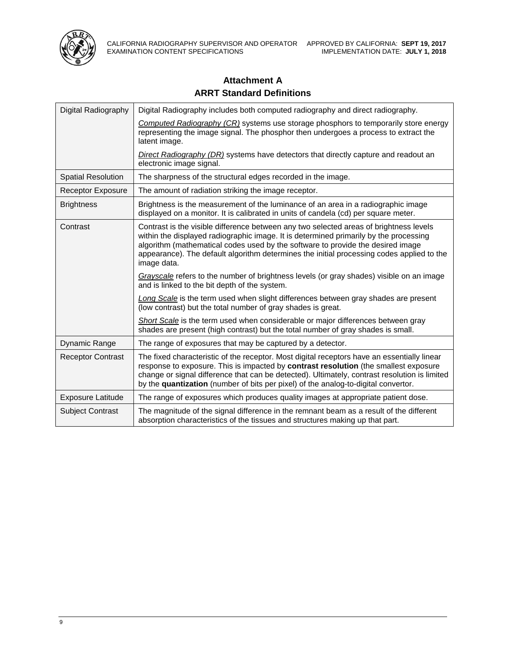

### **Attachment A ARRT Standard Definitions**

| Digital Radiography       | Digital Radiography includes both computed radiography and direct radiography.                                                                                                                                                                                                                                                                                                 |
|---------------------------|--------------------------------------------------------------------------------------------------------------------------------------------------------------------------------------------------------------------------------------------------------------------------------------------------------------------------------------------------------------------------------|
|                           | <b>Computed Radiography (CR)</b> systems use storage phosphors to temporarily store energy<br>representing the image signal. The phosphor then undergoes a process to extract the<br>latent image.                                                                                                                                                                             |
|                           | <b>Direct Radiography (DR)</b> systems have detectors that directly capture and readout an<br>electronic image signal.                                                                                                                                                                                                                                                         |
| <b>Spatial Resolution</b> | The sharpness of the structural edges recorded in the image.                                                                                                                                                                                                                                                                                                                   |
| <b>Receptor Exposure</b>  | The amount of radiation striking the image receptor.                                                                                                                                                                                                                                                                                                                           |
| <b>Brightness</b>         | Brightness is the measurement of the luminance of an area in a radiographic image<br>displayed on a monitor. It is calibrated in units of candela (cd) per square meter.                                                                                                                                                                                                       |
| Contrast                  | Contrast is the visible difference between any two selected areas of brightness levels<br>within the displayed radiographic image. It is determined primarily by the processing<br>algorithm (mathematical codes used by the software to provide the desired image<br>appearance). The default algorithm determines the initial processing codes applied to the<br>image data. |
|                           | Grayscale refers to the number of brightness levels (or gray shades) visible on an image<br>and is linked to the bit depth of the system.                                                                                                                                                                                                                                      |
|                           | Long Scale is the term used when slight differences between gray shades are present<br>(low contrast) but the total number of gray shades is great.                                                                                                                                                                                                                            |
|                           | Short Scale is the term used when considerable or major differences between gray<br>shades are present (high contrast) but the total number of gray shades is small.                                                                                                                                                                                                           |
| Dynamic Range             | The range of exposures that may be captured by a detector.                                                                                                                                                                                                                                                                                                                     |
| <b>Receptor Contrast</b>  | The fixed characteristic of the receptor. Most digital receptors have an essentially linear<br>response to exposure. This is impacted by contrast resolution (the smallest exposure<br>change or signal difference that can be detected). Ultimately, contrast resolution is limited<br>by the quantization (number of bits per pixel) of the analog-to-digital convertor.     |
| <b>Exposure Latitude</b>  | The range of exposures which produces quality images at appropriate patient dose.                                                                                                                                                                                                                                                                                              |
| <b>Subject Contrast</b>   | The magnitude of the signal difference in the remnant beam as a result of the different<br>absorption characteristics of the tissues and structures making up that part.                                                                                                                                                                                                       |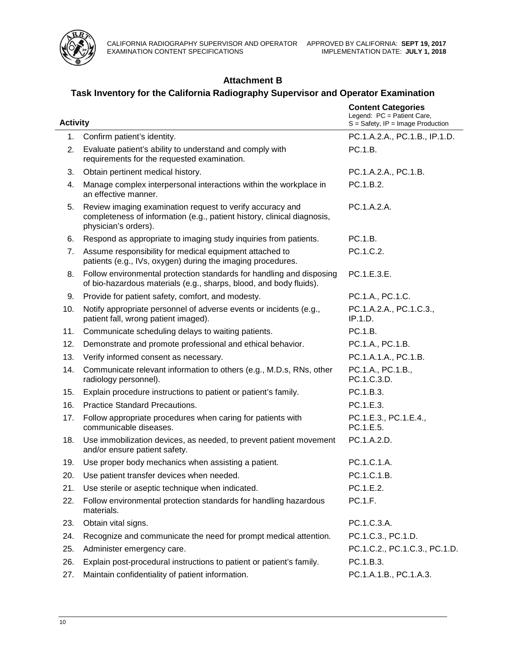

 $\overline{\phantom{0}}$ 

#### **Attachment B**

#### **Task Inventory for the California Radiography Supervisor and Operator Examination**

| <b>Activity</b> |                                                                                                                                                              | <b>Content Categories</b><br>Legend: PC = Patient Care,<br>$S =$ Safety, IP = Image Production |
|-----------------|--------------------------------------------------------------------------------------------------------------------------------------------------------------|------------------------------------------------------------------------------------------------|
| 1.              | Confirm patient's identity.                                                                                                                                  | PC.1.A.2.A., PC.1.B., IP.1.D.                                                                  |
| 2.              | Evaluate patient's ability to understand and comply with<br>requirements for the requested examination.                                                      | PC.1.B.                                                                                        |
| 3.              | Obtain pertinent medical history.                                                                                                                            | PC.1.A.2.A., PC.1.B.                                                                           |
| 4.              | Manage complex interpersonal interactions within the workplace in<br>an effective manner.                                                                    | PC.1.B.2.                                                                                      |
| 5.              | Review imaging examination request to verify accuracy and<br>completeness of information (e.g., patient history, clinical diagnosis,<br>physician's orders). | PC.1.A.2.A.                                                                                    |
| 6.              | Respond as appropriate to imaging study inquiries from patients.                                                                                             | PC.1.B.                                                                                        |
| 7.              | Assume responsibility for medical equipment attached to<br>patients (e.g., IVs, oxygen) during the imaging procedures.                                       | PC.1.C.2.                                                                                      |
| 8.              | Follow environmental protection standards for handling and disposing<br>of bio-hazardous materials (e.g., sharps, blood, and body fluids).                   | PC.1.E.3.E.                                                                                    |
| 9.              | Provide for patient safety, comfort, and modesty.                                                                                                            | PC.1.A., PC.1.C.                                                                               |
| 10.             | Notify appropriate personnel of adverse events or incidents (e.g.,<br>patient fall, wrong patient imaged).                                                   | PC.1.A.2.A., PC.1.C.3.,<br>IP.1.D.                                                             |
| 11.             | Communicate scheduling delays to waiting patients.                                                                                                           | PC.1.B.                                                                                        |
| 12.             | Demonstrate and promote professional and ethical behavior.                                                                                                   | PC.1.A., PC.1.B.                                                                               |
| 13.             | Verify informed consent as necessary.                                                                                                                        | PC.1.A.1.A., PC.1.B.                                                                           |
| 14.             | Communicate relevant information to others (e.g., M.D.s, RNs, other<br>radiology personnel).                                                                 | PC.1.A., PC.1.B.,<br>PC.1.C.3.D.                                                               |
| 15.             | Explain procedure instructions to patient or patient's family.                                                                                               | PC.1.B.3.                                                                                      |
| 16.             | <b>Practice Standard Precautions.</b>                                                                                                                        | PC.1.E.3.                                                                                      |
| 17.             | Follow appropriate procedures when caring for patients with<br>communicable diseases.                                                                        | PC.1.E.3., PC.1.E.4.,<br>PC.1.E.5.                                                             |
| 18.             | Use immobilization devices, as needed, to prevent patient movement<br>and/or ensure patient safety.                                                          | PC.1.A.2.D.                                                                                    |
| 19.             | Use proper body mechanics when assisting a patient.                                                                                                          | PC.1.C.1.A.                                                                                    |
|                 | 20. Use patient transfer devices when needed.                                                                                                                | PC.1.C.1.B.                                                                                    |
| 21.             | Use sterile or aseptic technique when indicated.                                                                                                             | PC.1.E.2.                                                                                      |
| 22.             | Follow environmental protection standards for handling hazardous<br>materials.                                                                               | PC.1.F.                                                                                        |
| 23.             | Obtain vital signs.                                                                                                                                          | PC.1.C.3.A.                                                                                    |
| 24.             | Recognize and communicate the need for prompt medical attention.                                                                                             | PC.1.C.3., PC.1.D.                                                                             |
| 25.             | Administer emergency care.                                                                                                                                   | PC.1.C.2., PC.1.C.3., PC.1.D.                                                                  |
| 26.             | Explain post-procedural instructions to patient or patient's family.                                                                                         | PC.1.B.3.                                                                                      |
| 27.             | Maintain confidentiality of patient information.                                                                                                             | PC.1.A.1.B., PC.1.A.3.                                                                         |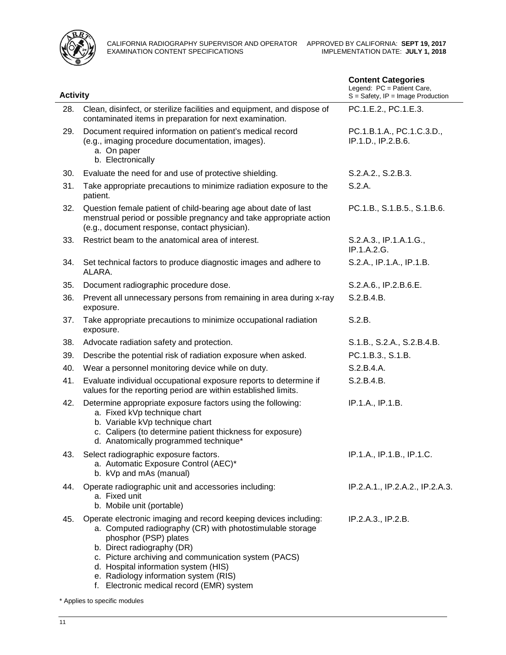

 $\overline{\phantom{0}}$ 

| <b>Activity</b> |                                                                                                                                                                                                                                                                                                                                                                            | <b>Content Categories</b><br>Legend: PC = Patient Care,<br>$S =$ Safety, IP = Image Production |
|-----------------|----------------------------------------------------------------------------------------------------------------------------------------------------------------------------------------------------------------------------------------------------------------------------------------------------------------------------------------------------------------------------|------------------------------------------------------------------------------------------------|
| 28.             | Clean, disinfect, or sterilize facilities and equipment, and dispose of<br>contaminated items in preparation for next examination.                                                                                                                                                                                                                                         | PC.1.E.2., PC.1.E.3.                                                                           |
| 29.             | Document required information on patient's medical record<br>(e.g., imaging procedure documentation, images).<br>a. On paper<br>b. Electronically                                                                                                                                                                                                                          | PC.1.B.1.A., PC.1.C.3.D.,<br>IP.1.D., IP.2.B.6.                                                |
| 30.             | Evaluate the need for and use of protective shielding.                                                                                                                                                                                                                                                                                                                     | S.2.A.2., S.2.B.3.                                                                             |
| 31.             | Take appropriate precautions to minimize radiation exposure to the<br>patient.                                                                                                                                                                                                                                                                                             | S.2.A.                                                                                         |
| 32.             | Question female patient of child-bearing age about date of last<br>menstrual period or possible pregnancy and take appropriate action<br>(e.g., document response, contact physician).                                                                                                                                                                                     | PC.1.B., S.1.B.5., S.1.B.6.                                                                    |
| 33.             | Restrict beam to the anatomical area of interest.                                                                                                                                                                                                                                                                                                                          | S.2.A.3., IP.1.A.1.G.,<br>IP.1.A.2.G.                                                          |
| 34.             | Set technical factors to produce diagnostic images and adhere to<br>ALARA.                                                                                                                                                                                                                                                                                                 | S.2.A., IP.1.A., IP.1.B.                                                                       |
| 35.             | Document radiographic procedure dose.                                                                                                                                                                                                                                                                                                                                      | S.2.A.6., IP.2.B.6.E.                                                                          |
| 36.             | Prevent all unnecessary persons from remaining in area during x-ray<br>exposure.                                                                                                                                                                                                                                                                                           | S.2.B.4.B.                                                                                     |
| 37.             | Take appropriate precautions to minimize occupational radiation<br>exposure.                                                                                                                                                                                                                                                                                               | S.2.B.                                                                                         |
| 38.             | Advocate radiation safety and protection.                                                                                                                                                                                                                                                                                                                                  | S.1.B., S.2.A., S.2.B.4.B.                                                                     |
| 39.             | Describe the potential risk of radiation exposure when asked.                                                                                                                                                                                                                                                                                                              | PC.1.B.3., S.1.B.                                                                              |
| 40.             | Wear a personnel monitoring device while on duty.                                                                                                                                                                                                                                                                                                                          | S.2.B.4.A.                                                                                     |
| 41.             | Evaluate individual occupational exposure reports to determine if<br>values for the reporting period are within established limits.                                                                                                                                                                                                                                        | S.2.B.4.B.                                                                                     |
| 42.             | Determine appropriate exposure factors using the following:<br>a. Fixed kVp technique chart<br>b. Variable kVp technique chart<br>c. Calipers (to determine patient thickness for exposure)<br>d. Anatomically programmed technique*                                                                                                                                       | IP.1.A., IP.1.B.                                                                               |
| 43.             | Select radiographic exposure factors.<br>a. Automatic Exposure Control (AEC)*<br>b. kVp and mAs (manual)                                                                                                                                                                                                                                                                   | IP.1.A., IP.1.B., IP.1.C.                                                                      |
| 44.             | Operate radiographic unit and accessories including:<br>a. Fixed unit<br>b. Mobile unit (portable)                                                                                                                                                                                                                                                                         | IP.2.A.1., IP.2.A.2., IP.2.A.3.                                                                |
| 45.             | Operate electronic imaging and record keeping devices including:<br>a. Computed radiography (CR) with photostimulable storage<br>phosphor (PSP) plates<br>b. Direct radiography (DR)<br>c. Picture archiving and communication system (PACS)<br>d. Hospital information system (HIS)<br>e. Radiology information system (RIS)<br>f. Electronic medical record (EMR) system | IP.2.A.3., IP.2.B.                                                                             |

\* Applies to specific modules